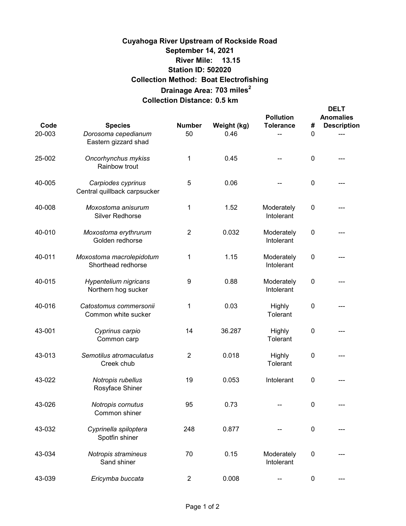# **13.15 River Mile: 703 miles<sup>2</sup> Drainage Area: Collection Distance: 0.5 km Cuyahoga River Upstream of Rockside Road September 14, 2021 Collection Method: Boat Electrofishing Station ID: 502020**

| Code<br>20-003 | <b>Species</b><br>Dorosoma cepedianum<br>Eastern gizzard shad | <b>Number</b><br>50 | Weight (kg)<br>0.46 | <b>Pollution</b><br><b>Tolerance</b> | #<br>0           | <b>DELT</b><br><b>Anomalies</b><br><b>Description</b> |
|----------------|---------------------------------------------------------------|---------------------|---------------------|--------------------------------------|------------------|-------------------------------------------------------|
| 25-002         | Oncorhynchus mykiss<br>Rainbow trout                          | 1                   | 0.45                |                                      | 0                |                                                       |
| 40-005         | Carpiodes cyprinus<br>Central quillback carpsucker            | 5                   | 0.06                |                                      | 0                |                                                       |
| 40-008         | Moxostoma anisurum<br><b>Silver Redhorse</b>                  | 1                   | 1.52                | Moderately<br>Intolerant             | 0                |                                                       |
| 40-010         | Moxostoma erythrurum<br>Golden redhorse                       | $\overline{2}$      | 0.032               | Moderately<br>Intolerant             | $\pmb{0}$        |                                                       |
| 40-011         | Moxostoma macrolepidotum<br>Shorthead redhorse                | 1                   | 1.15                | Moderately<br>Intolerant             | $\pmb{0}$        |                                                       |
| 40-015         | Hypentelium nigricans<br>Northern hog sucker                  | 9                   | 0.88                | Moderately<br>Intolerant             | $\mathbf 0$      |                                                       |
| 40-016         | Catostomus commersonii<br>Common white sucker                 | 1                   | 0.03                | Highly<br>Tolerant                   | 0                |                                                       |
| 43-001         | Cyprinus carpio<br>Common carp                                | 14                  | 36.287              | Highly<br>Tolerant                   | 0                |                                                       |
| 43-013         | Semotilus atromaculatus<br>Creek chub                         | $\overline{2}$      | 0.018               | Highly<br>Tolerant                   | 0                |                                                       |
| 43-022         | Notropis rubellus<br>Rosyface Shiner                          | 19                  | 0.053               | Intolerant                           | $\boldsymbol{0}$ |                                                       |
| 43-026         | Notropis cornutus<br>Common shiner                            | 95                  | 0.73                |                                      | $\pmb{0}$        |                                                       |
| 43-032         | Cyprinella spiloptera<br>Spotfin shiner                       | 248                 | 0.877               |                                      | $\pmb{0}$        |                                                       |
| 43-034         | Notropis stramineus<br>Sand shiner                            | 70                  | 0.15                | Moderately<br>Intolerant             | $\pmb{0}$        |                                                       |
| 43-039         | Ericymba buccata                                              | $\overline{2}$      | 0.008               |                                      | 0                |                                                       |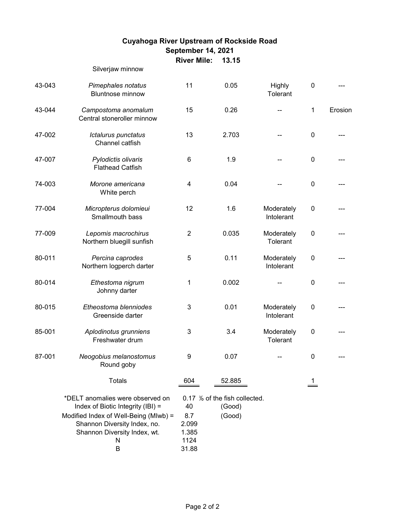# **13.15 River Mile: Cuyahoga River Upstream of Rockside Road September 14, 2021**

#### Silverjaw minnow

| 43-043 | Pimephales notatus<br><b>Bluntnose minnow</b>                                                                                                                                            | 11                                           | 0.05                                              | Highly<br>Tolerant       | $\pmb{0}$   |         |
|--------|------------------------------------------------------------------------------------------------------------------------------------------------------------------------------------------|----------------------------------------------|---------------------------------------------------|--------------------------|-------------|---------|
| 43-044 | Campostoma anomalum<br>Central stoneroller minnow                                                                                                                                        | 15                                           | 0.26                                              |                          | 1           | Erosion |
| 47-002 | Ictalurus punctatus<br>Channel catfish                                                                                                                                                   | 13                                           | 2.703                                             |                          | $\pmb{0}$   |         |
| 47-007 | Pylodictis olivaris<br><b>Flathead Catfish</b>                                                                                                                                           | 6                                            | 1.9                                               |                          | $\pmb{0}$   |         |
| 74-003 | Morone americana<br>White perch                                                                                                                                                          | $\overline{\mathbf{4}}$                      | 0.04                                              |                          | $\pmb{0}$   |         |
| 77-004 | Micropterus dolomieui<br>Smallmouth bass                                                                                                                                                 | 12                                           | 1.6                                               | Moderately<br>Intolerant | $\mathbf 0$ |         |
| 77-009 | Lepomis macrochirus<br>Northern bluegill sunfish                                                                                                                                         | $\overline{2}$                               | 0.035                                             | Moderately<br>Tolerant   | $\pmb{0}$   |         |
| 80-011 | Percina caprodes<br>Northern logperch darter                                                                                                                                             | 5                                            | 0.11                                              | Moderately<br>Intolerant | $\pmb{0}$   |         |
| 80-014 | Ethestoma nigrum<br>Johnny darter                                                                                                                                                        | 1                                            | 0.002                                             |                          | $\pmb{0}$   |         |
| 80-015 | Etheostoma blenniodes<br>Greenside darter                                                                                                                                                | 3                                            | 0.01                                              | Moderately<br>Intolerant | 0           |         |
| 85-001 | Aplodinotus grunniens<br>Freshwater drum                                                                                                                                                 | 3                                            | 3.4                                               | Moderately<br>Tolerant   | $\pmb{0}$   |         |
| 87-001 | Neogobius melanostomus<br>Round goby                                                                                                                                                     | 9                                            | 0.07                                              |                          | $\pmb{0}$   |         |
|        | <b>Totals</b>                                                                                                                                                                            | 604                                          | 52.885                                            |                          | 1           |         |
|        | *DELT anomalies were observed on<br>Index of Biotic Integrity (IBI) =<br>Modified Index of Well-Being (MIwb) =<br>Shannon Diversity Index, no.<br>Shannon Diversity Index, wt.<br>N<br>B | 40<br>8.7<br>2.099<br>1.385<br>1124<br>31.88 | 0.17 % of the fish collected.<br>(Good)<br>(Good) |                          |             |         |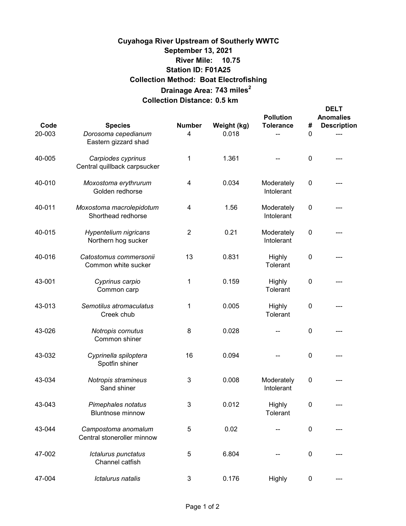# **10.75 River Mile: 743 miles<sup>2</sup> Drainage Area: Collection Distance: 0.5 km Cuyahoga River Upstream of Southerly WWTC September 13, 2021 Collection Method: Boat Electrofishing Station ID: F01A25**

| Code<br>20-003 | <b>Species</b><br>Dorosoma cepedianum              | <b>Number</b><br>4 | Weight (kg)<br>0.018 | <b>Pollution</b><br><b>Tolerance</b> | #<br>0    | <b>DELT</b><br><b>Anomalies</b><br><b>Description</b> |
|----------------|----------------------------------------------------|--------------------|----------------------|--------------------------------------|-----------|-------------------------------------------------------|
|                | Eastern gizzard shad                               |                    |                      |                                      |           |                                                       |
| 40-005         | Carpiodes cyprinus<br>Central quillback carpsucker | 1                  | 1.361                |                                      | $\pmb{0}$ |                                                       |
| 40-010         | Moxostoma erythrurum<br>Golden redhorse            | 4                  | 0.034                | Moderately<br>Intolerant             | $\pmb{0}$ |                                                       |
| 40-011         | Moxostoma macrolepidotum<br>Shorthead redhorse     | 4                  | 1.56                 | Moderately<br>Intolerant             | $\pmb{0}$ |                                                       |
| 40-015         | Hypentelium nigricans<br>Northern hog sucker       | $\overline{2}$     | 0.21                 | Moderately<br>Intolerant             | $\pmb{0}$ |                                                       |
| 40-016         | Catostomus commersonii<br>Common white sucker      | 13                 | 0.831                | Highly<br>Tolerant                   | $\pmb{0}$ |                                                       |
| 43-001         | Cyprinus carpio<br>Common carp                     | 1                  | 0.159                | Highly<br>Tolerant                   | 0         |                                                       |
| 43-013         | Semotilus atromaculatus<br>Creek chub              | 1                  | 0.005                | Highly<br>Tolerant                   | $\pmb{0}$ |                                                       |
| 43-026         | Notropis cornutus<br>Common shiner                 | 8                  | 0.028                |                                      | 0         |                                                       |
| 43-032         | Cyprinella spiloptera<br>Spotfin shiner            | 16                 | 0.094                |                                      | $\pmb{0}$ |                                                       |
| 43-034         | Notropis stramineus<br>Sand shiner                 | 3                  | 0.008                | Moderately<br>Intolerant             | $\pmb{0}$ |                                                       |
| 43-043         | Pimephales notatus<br><b>Bluntnose minnow</b>      | 3                  | 0.012                | Highly<br>Tolerant                   | 0         |                                                       |
| 43-044         | Campostoma anomalum<br>Central stoneroller minnow  | 5                  | 0.02                 |                                      | $\pmb{0}$ |                                                       |
| 47-002         | Ictalurus punctatus<br>Channel catfish             | 5                  | 6.804                |                                      | $\pmb{0}$ |                                                       |
| 47-004         | Ictalurus natalis                                  | 3                  | 0.176                | Highly                               | $\pmb{0}$ |                                                       |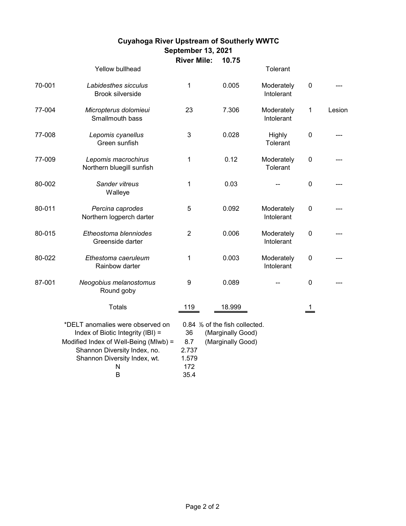# **10.75 River Mile: Cuyahoga River Upstream of Southerly WWTC September 13, 2021**

|        | Yellow bullhead                                                                                                                                                                          |                                            |                                                                         | Tolerant                 |                |        |
|--------|------------------------------------------------------------------------------------------------------------------------------------------------------------------------------------------|--------------------------------------------|-------------------------------------------------------------------------|--------------------------|----------------|--------|
| 70-001 | Labidesthes sicculus<br><b>Brook silverside</b>                                                                                                                                          | 1                                          | 0.005                                                                   | Moderately<br>Intolerant | $\mathbf 0$    |        |
| 77-004 | Micropterus dolomieui<br>Smallmouth bass                                                                                                                                                 | 23                                         | 7.306                                                                   | Moderately<br>Intolerant | 1              | Lesion |
| 77-008 | Lepomis cyanellus<br>Green sunfish                                                                                                                                                       | 3                                          | 0.028                                                                   | Highly<br>Tolerant       | $\pmb{0}$      |        |
| 77-009 | Lepomis macrochirus<br>Northern bluegill sunfish                                                                                                                                         | 1                                          | 0.12                                                                    | Moderately<br>Tolerant   | $\pmb{0}$      |        |
| 80-002 | Sander vitreus<br>Walleye                                                                                                                                                                | 1                                          | 0.03                                                                    |                          | $\mathbf 0$    |        |
| 80-011 | Percina caprodes<br>Northern logperch darter                                                                                                                                             | 5                                          | 0.092                                                                   | Moderately<br>Intolerant | $\mathbf 0$    |        |
| 80-015 | Etheostoma blenniodes<br>Greenside darter                                                                                                                                                | $\overline{2}$                             | 0.006                                                                   | Moderately<br>Intolerant | $\mathbf 0$    |        |
| 80-022 | Ethestoma caeruleum<br>Rainbow darter                                                                                                                                                    | 1                                          | 0.003                                                                   | Moderately<br>Intolerant | $\pmb{0}$      |        |
| 87-001 | Neogobius melanostomus<br>Round goby                                                                                                                                                     | 9                                          | 0.089                                                                   |                          | $\mathbf 0$    |        |
|        | <b>Totals</b>                                                                                                                                                                            | 119                                        | 18.999                                                                  |                          | $\overline{1}$ |        |
|        | *DELT anomalies were observed on<br>Index of Biotic Integrity (IBI) =<br>Modified Index of Well-Being (MIwb) =<br>Shannon Diversity Index, no.<br>Shannon Diversity Index, wt.<br>N<br>B | 36<br>8.7<br>2.737<br>1.579<br>172<br>35.4 | 0.84 % of the fish collected.<br>(Marginally Good)<br>(Marginally Good) |                          |                |        |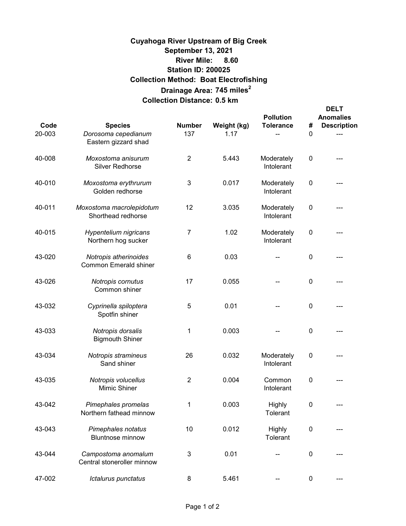# **8.60 River Mile: 745 miles<sup>2</sup> Drainage Area: Collection Distance: 0.5 km Cuyahoga River Upstream of Big Creek September 13, 2021 Collection Method: Boat Electrofishing Station ID: 200025**

| Code<br>20-003 | <b>Species</b><br>Dorosoma cepedianum<br>Eastern gizzard shad | <b>Number</b><br>137 | Weight (kg)<br>1.17 | <b>Pollution</b><br><b>Tolerance</b> | #<br>0 | <b>DELT</b><br><b>Anomalies</b><br><b>Description</b> |
|----------------|---------------------------------------------------------------|----------------------|---------------------|--------------------------------------|--------|-------------------------------------------------------|
| 40-008         | Moxostoma anisurum<br>Silver Redhorse                         | $\overline{2}$       | 5.443               | Moderately<br>Intolerant             | 0      |                                                       |
| 40-010         | Moxostoma erythrurum<br>Golden redhorse                       | 3                    | 0.017               | Moderately<br>Intolerant             | 0      |                                                       |
| 40-011         | Moxostoma macrolepidotum<br>Shorthead redhorse                | 12                   | 3.035               | Moderately<br>Intolerant             | 0      |                                                       |
| 40-015         | Hypentelium nigricans<br>Northern hog sucker                  | 7                    | 1.02                | Moderately<br>Intolerant             | 0      |                                                       |
| 43-020         | Notropis atherinoides<br><b>Common Emerald shiner</b>         | 6                    | 0.03                |                                      | 0      |                                                       |
| 43-026         | Notropis cornutus<br>Common shiner                            | 17                   | 0.055               |                                      | 0      |                                                       |
| 43-032         | Cyprinella spiloptera<br>Spotfin shiner                       | 5                    | 0.01                |                                      | 0      |                                                       |
| 43-033         | Notropis dorsalis<br><b>Bigmouth Shiner</b>                   | 1                    | 0.003               |                                      | 0      |                                                       |
| 43-034         | Notropis stramineus<br>Sand shiner                            | 26                   | 0.032               | Moderately<br>Intolerant             | 0      |                                                       |
| 43-035         | Notropis volucellus<br>Mimic Shiner                           | $\overline{2}$       | 0.004               | Common<br>Intolerant                 | 0      |                                                       |
| 43-042         | Pimephales promelas<br>Northern fathead minnow                | 1                    | 0.003               | Highly<br>Tolerant                   | 0      |                                                       |
| 43-043         | Pimephales notatus<br><b>Bluntnose minnow</b>                 | 10                   | 0.012               | Highly<br>Tolerant                   | 0      |                                                       |
| 43-044         | Campostoma anomalum<br>Central stoneroller minnow             | 3                    | 0.01                |                                      | 0      |                                                       |
| 47-002         | Ictalurus punctatus                                           | 8                    | 5.461               |                                      | 0      |                                                       |